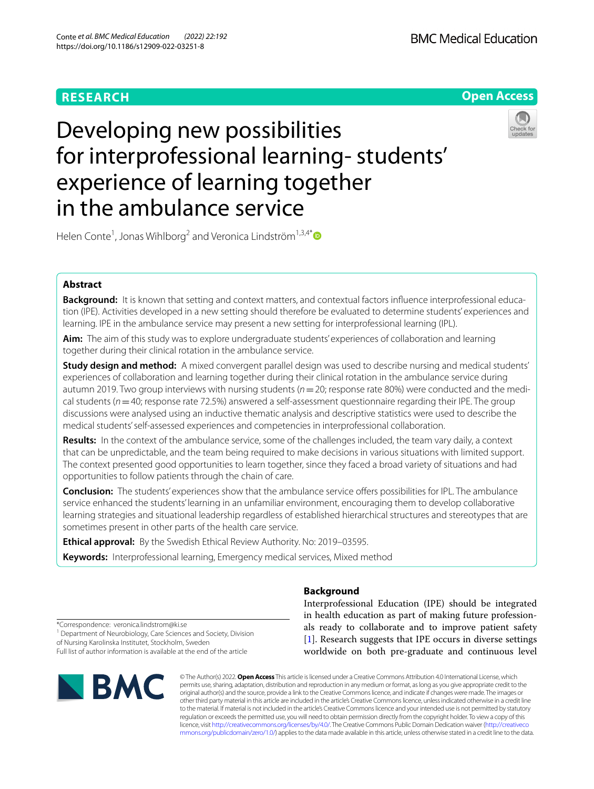# **RESEARCH**



# Developing new possibilities for interprofessional learning- students' experience of learning together in the ambulance service



Helen Conte<sup>1</sup>, Jonas Wihlborg<sup>2</sup> and Veronica Lindström<sup>1,3,4[\\*](https://orcid.org/0000-0003-1386-3203)</sup>

# **Abstract**

**Background:** It is known that setting and context matters, and contextual factors infuence interprofessional education (IPE). Activities developed in a new setting should therefore be evaluated to determine students' experiences and learning. IPE in the ambulance service may present a new setting for interprofessional learning (IPL).

**Aim:** The aim of this study was to explore undergraduate students' experiences of collaboration and learning together during their clinical rotation in the ambulance service.

**Study design and method:** A mixed convergent parallel design was used to describe nursing and medical students' experiences of collaboration and learning together during their clinical rotation in the ambulance service during autumn 2019. Two group interviews with nursing students (*n*=20; response rate 80%) were conducted and the medical students (*n*=40; response rate 72.5%) answered a self-assessment questionnaire regarding their IPE. The group discussions were analysed using an inductive thematic analysis and descriptive statistics were used to describe the medical students' self-assessed experiences and competencies in interprofessional collaboration.

**Results:** In the context of the ambulance service, some of the challenges included, the team vary daily, a context that can be unpredictable, and the team being required to make decisions in various situations with limited support. The context presented good opportunities to learn together, since they faced a broad variety of situations and had opportunities to follow patients through the chain of care.

**Conclusion:** The students' experiences show that the ambulance service offers possibilities for IPL. The ambulance service enhanced the students' learning in an unfamiliar environment, encouraging them to develop collaborative learning strategies and situational leadership regardless of established hierarchical structures and stereotypes that are sometimes present in other parts of the health care service.

**Ethical approval:** By the Swedish Ethical Review Authority. No: 2019–03595.

**Keywords:** Interprofessional learning, Emergency medical services, Mixed method

**Background**

Interprofessional Education (IPE) should be integrated in health education as part of making future professionals ready to collaborate and to improve patient safety [[1\]](#page-8-0). Research suggests that IPE occurs in diverse settings worldwide on both pre-graduate and continuous level

\*Correspondence: veronica.lindstrom@ki.se

<sup>1</sup> Department of Neurobiology, Care Sciences and Society, Division of Nursing Karolinska Institutet, Stockholm, Sweden

Full list of author information is available at the end of the article



© The Author(s) 2022. **Open Access** This article is licensed under a Creative Commons Attribution 4.0 International License, which permits use, sharing, adaptation, distribution and reproduction in any medium or format, as long as you give appropriate credit to the original author(s) and the source, provide a link to the Creative Commons licence, and indicate if changes were made. The images or other third party material in this article are included in the article's Creative Commons licence, unless indicated otherwise in a credit line to the material. If material is not included in the article's Creative Commons licence and your intended use is not permitted by statutory regulation or exceeds the permitted use, you will need to obtain permission directly from the copyright holder. To view a copy of this licence, visit [http://creativecommons.org/licenses/by/4.0/.](http://creativecommons.org/licenses/by/4.0/) The Creative Commons Public Domain Dedication waiver ([http://creativeco](http://creativecommons.org/publicdomain/zero/1.0/) [mmons.org/publicdomain/zero/1.0/](http://creativecommons.org/publicdomain/zero/1.0/)) applies to the data made available in this article, unless otherwise stated in a credit line to the data.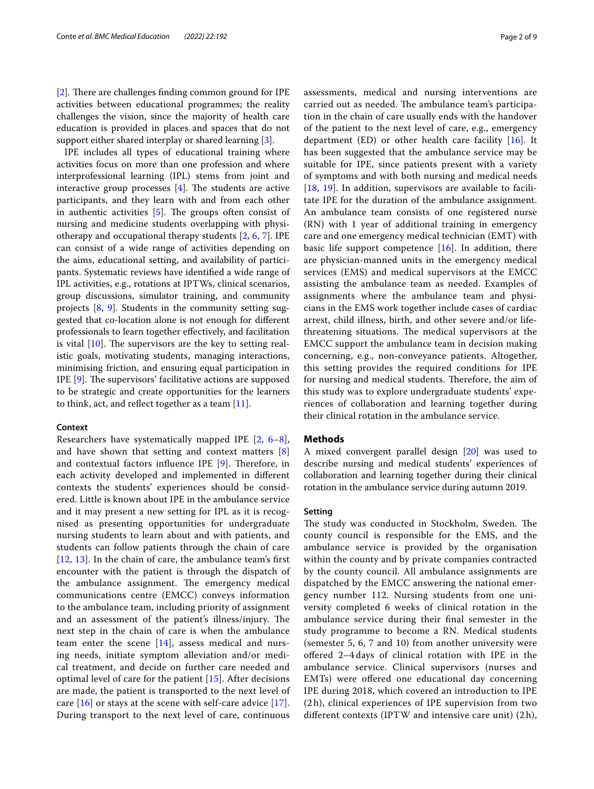[[2\]](#page-8-1). There are challenges finding common ground for IPE activities between educational programmes; the reality challenges the vision, since the majority of health care education is provided in places and spaces that do not support either shared interplay or shared learning [\[3\]](#page-8-2).

IPE includes all types of educational training where activities focus on more than one profession and where interprofessional learning (IPL) stems from joint and interactive group processes  $[4]$  $[4]$ . The students are active participants, and they learn with and from each other in authentic activities  $[5]$  $[5]$ . The groups often consist of nursing and medicine students overlapping with physiotherapy and occupational therapy students [\[2](#page-8-1), [6,](#page-8-5) [7\]](#page-8-6). IPE can consist of a wide range of activities depending on the aims, educational setting, and availability of participants. Systematic reviews have identifed a wide range of IPL activities, e.g., rotations at IPTWs, clinical scenarios, group discussions, simulator training, and community projects [[8,](#page-8-7) [9\]](#page-8-8). Students in the community setting suggested that co-location alone is not enough for diferent professionals to learn together efectively, and facilitation is vital  $[10]$  $[10]$ . The supervisors are the key to setting realistic goals, motivating students, managing interactions, minimising friction, and ensuring equal participation in IPE  $[9]$  $[9]$ . The supervisors' facilitative actions are supposed to be strategic and create opportunities for the learners to think, act, and reflect together as a team  $[11]$  $[11]$ .

# **Context**

Researchers have systematically mapped IPE [\[2](#page-8-1), [6–](#page-8-5)[8](#page-8-7)], and have shown that setting and context matters [\[8](#page-8-7)] and contextual factors influence IPE  $[9]$  $[9]$ . Therefore, in each activity developed and implemented in diferent contexts the students' experiences should be considered. Little is known about IPE in the ambulance service and it may present a new setting for IPL as it is recognised as presenting opportunities for undergraduate nursing students to learn about and with patients, and students can follow patients through the chain of care [[12](#page-8-11), [13](#page-8-12)]. In the chain of care, the ambulance team's frst encounter with the patient is through the dispatch of the ambulance assignment. The emergency medical communications centre (EMCC) conveys information to the ambulance team, including priority of assignment and an assessment of the patient's illness/injury. The next step in the chain of care is when the ambulance team enter the scene  $[14]$  $[14]$  $[14]$ , assess medical and nursing needs, initiate symptom alleviation and/or medical treatment, and decide on further care needed and optimal level of care for the patient [\[15](#page-8-14)]. After decisions are made, the patient is transported to the next level of care  $[16]$  $[16]$  or stays at the scene with self-care advice  $[17]$  $[17]$  $[17]$ . During transport to the next level of care, continuous assessments, medical and nursing interventions are carried out as needed. The ambulance team's participation in the chain of care usually ends with the handover of the patient to the next level of care, e.g., emergency department (ED) or other health care facility [[16\]](#page-8-15). It has been suggested that the ambulance service may be suitable for IPE, since patients present with a variety of symptoms and with both nursing and medical needs [[18](#page-8-17), [19\]](#page-8-18). In addition, supervisors are available to facilitate IPE for the duration of the ambulance assignment. An ambulance team consists of one registered nurse (RN) with 1 year of additional training in emergency care and one emergency medical technician (EMT) with basic life support competence  $[16]$  $[16]$ . In addition, there are physician-manned units in the emergency medical services (EMS) and medical supervisors at the EMCC assisting the ambulance team as needed. Examples of assignments where the ambulance team and physicians in the EMS work together include cases of cardiac arrest, child illness, birth, and other severe and/or lifethreatening situations. The medical supervisors at the EMCC support the ambulance team in decision making concerning, e.g., non-conveyance patients. Altogether, this setting provides the required conditions for IPE for nursing and medical students. Therefore, the aim of this study was to explore undergraduate students' experiences of collaboration and learning together during their clinical rotation in the ambulance service.

# **Methods**

A mixed convergent parallel design [[20](#page-8-19)] was used to describe nursing and medical students' experiences of collaboration and learning together during their clinical rotation in the ambulance service during autumn 2019.

# **Setting**

The study was conducted in Stockholm, Sweden. The county council is responsible for the EMS, and the ambulance service is provided by the organisation within the county and by private companies contracted by the county council. All ambulance assignments are dispatched by the EMCC answering the national emergency number 112. Nursing students from one university completed 6 weeks of clinical rotation in the ambulance service during their fnal semester in the study programme to become a RN. Medical students (semester 5, 6, 7 and 10) from another university were ofered 2–4 days of clinical rotation with IPE in the ambulance service. Clinical supervisors (nurses and EMTs) were offered one educational day concerning IPE during 2018, which covered an introduction to IPE (2 h), clinical experiences of IPE supervision from two diferent contexts (IPTW and intensive care unit) (2 h),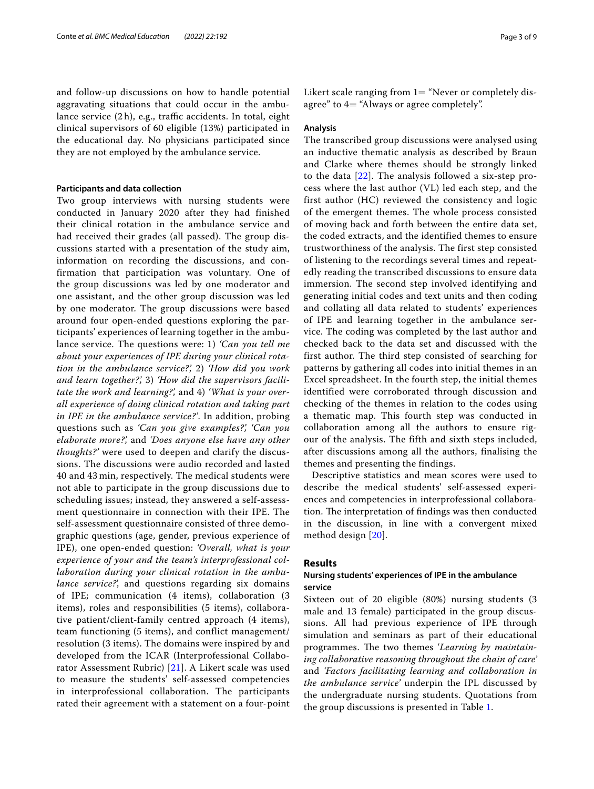and follow-up discussions on how to handle potential aggravating situations that could occur in the ambulance service  $(2h)$ , e.g., traffic accidents. In total, eight clinical supervisors of 60 eligible (13%) participated in the educational day. No physicians participated since they are not employed by the ambulance service.

# **Participants and data collection**

Two group interviews with nursing students were conducted in January 2020 after they had finished their clinical rotation in the ambulance service and had received their grades (all passed). The group discussions started with a presentation of the study aim, information on recording the discussions, and confirmation that participation was voluntary. One of the group discussions was led by one moderator and one assistant, and the other group discussion was led by one moderator. The group discussions were based around four open-ended questions exploring the participants' experiences of learning together in the ambulance service. The questions were: 1) *'Can you tell me about your experiences of IPE during your clinical rotation in the ambulance service?',* 2) *'How did you work and learn together?',* 3) *'How did the supervisors facilitate the work and learning?',* and 4) *'What is your overall experience of doing clinical rotation and taking part in IPE in the ambulance service?'*. In addition, probing questions such as *'Can you give examples?', 'Can you elaborate more?',* and *'Does anyone else have any other thoughts?'* were used to deepen and clarify the discussions. The discussions were audio recorded and lasted 40 and 43 min, respectively. The medical students were not able to participate in the group discussions due to scheduling issues; instead, they answered a self-assessment questionnaire in connection with their IPE. The self-assessment questionnaire consisted of three demographic questions (age, gender, previous experience of IPE), one open-ended question: *'Overall, what is your experience of your and the team's interprofessional collaboration during your clinical rotation in the ambulance service?*', and questions regarding six domains of IPE; communication (4 items), collaboration (3 items), roles and responsibilities (5 items), collaborative patient/client-family centred approach (4 items), team functioning (5 items), and conflict management/ resolution (3 items). The domains were inspired by and developed from the ICAR (Interprofessional Collaborator Assessment Rubric) [\[21](#page-8-20)]. A Likert scale was used to measure the students' self-assessed competencies in interprofessional collaboration. The participants rated their agreement with a statement on a four-point Likert scale ranging from  $1=$  "Never or completely disagree" to 4= "Always or agree completely".

# **Analysis**

The transcribed group discussions were analysed using an inductive thematic analysis as described by Braun and Clarke where themes should be strongly linked to the data [[22](#page-8-21)]. The analysis followed a six-step process where the last author (VL) led each step, and the first author (HC) reviewed the consistency and logic of the emergent themes. The whole process consisted of moving back and forth between the entire data set, the coded extracts, and the identified themes to ensure trustworthiness of the analysis. The first step consisted of listening to the recordings several times and repeatedly reading the transcribed discussions to ensure data immersion. The second step involved identifying and generating initial codes and text units and then coding and collating all data related to students' experiences of IPE and learning together in the ambulance service. The coding was completed by the last author and checked back to the data set and discussed with the first author. The third step consisted of searching for patterns by gathering all codes into initial themes in an Excel spreadsheet. In the fourth step, the initial themes identified were corroborated through discussion and checking of the themes in relation to the codes using a thematic map. This fourth step was conducted in collaboration among all the authors to ensure rigour of the analysis. The fifth and sixth steps included, after discussions among all the authors, finalising the themes and presenting the findings.

Descriptive statistics and mean scores were used to describe the medical students' self-assessed experiences and competencies in interprofessional collaboration. The interpretation of findings was then conducted in the discussion, in line with a convergent mixed method design [[20](#page-8-19)].

# **Results**

# **Nursing students' experiences of IPE in the ambulance service**

Sixteen out of 20 eligible (80%) nursing students (3 male and 13 female) participated in the group discussions. All had previous experience of IPE through simulation and seminars as part of their educational programmes. The two themes 'Learning by maintain*ing collaborative reasoning throughout the chain of care'* and *'Factors facilitating learning and collaboration in the ambulance service'* underpin the IPL discussed by the undergraduate nursing students. Quotations from the group discussions is presented in Table [1.](#page-3-0)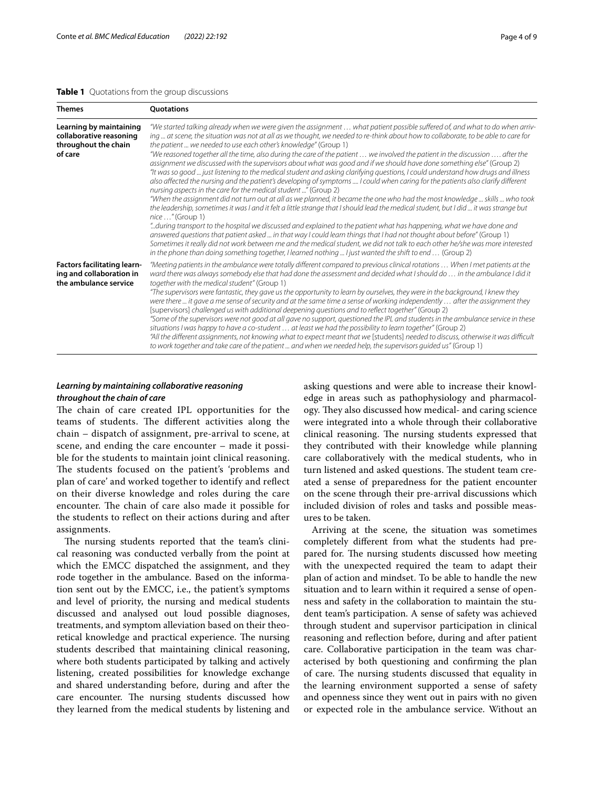# <span id="page-3-0"></span>**Table 1** Quotations from the group discussions

| <b>Themes</b>                                                                           | <b>Ouotations</b>                                                                                                                                                                                                                                                                                                                                                                                                                                                                                                                                                                                                                                                                                                                                                                                                                                                                                                                                                                                                                                                                                                                                                                                                                                                                                                                                                                                                                                                                                                                                                                                                                                                                                                                  |
|-----------------------------------------------------------------------------------------|------------------------------------------------------------------------------------------------------------------------------------------------------------------------------------------------------------------------------------------------------------------------------------------------------------------------------------------------------------------------------------------------------------------------------------------------------------------------------------------------------------------------------------------------------------------------------------------------------------------------------------------------------------------------------------------------------------------------------------------------------------------------------------------------------------------------------------------------------------------------------------------------------------------------------------------------------------------------------------------------------------------------------------------------------------------------------------------------------------------------------------------------------------------------------------------------------------------------------------------------------------------------------------------------------------------------------------------------------------------------------------------------------------------------------------------------------------------------------------------------------------------------------------------------------------------------------------------------------------------------------------------------------------------------------------------------------------------------------------|
| Learning by maintaining<br>collaborative reasoning<br>throughout the chain<br>of care   | "We started talking already when we were given the assignment  what patient possible suffered of, and what to do when arriv-<br>ing  at scene, the situation was not at all as we thought, we needed to re-think about how to collaborate, to be able to care for<br>the patient  we needed to use each other's knowledge" (Group 1)<br>"We reasoned together all the time, also during the care of the patient  we involved the patient in the discussion  after the<br>assignment we discussed with the supervisors about what was good and if we should have done something else" (Group 2)<br>"It was so good  just listening to the medical student and asking clarifying questions, I could understand how drugs and illness<br>also affected the nursing and the patient's developing of symptoms  I could when caring for the patients also clarify different<br>nursing aspects in the care for the medical student" (Group 2)<br>"When the assignment did not turn out at all as we planned, it became the one who had the most knowledge  skills  who took<br>the leadership, sometimes it was I and it felt a little strange that I should lead the medical student, but I did  it was strange but<br>nice " (Group 1)<br>"during transport to the hospital we discussed and explained to the patient what has happening, what we have done and<br>answered questions that patient asked  in that way I could learn things that I had not thought about before" (Group 1)<br>Sometimes it really did not work between me and the medical student, we did not talk to each other he/she was more interested<br>in the phone than doing something together, I learned nothing  I just wanted the shift to end  (Group 2) |
| <b>Factors facilitating learn-</b><br>ing and collaboration in<br>the ambulance service | "Meeting patients in the ambulance were totally different compared to previous clinical rotations  When I met patients at the<br>ward there was always somebody else that had done the assessment and decided what I should do  in the ambulance I did it<br>together with the medical student" (Group 1)<br>"The supervisors were fantastic, they gave us the opportunity to learn by ourselves, they were in the background, I knew they<br>were there  it gave a me sense of security and at the same time a sense of working independently  after the assignment they<br>[supervisors] challenged us with additional deepening questions and to reflect together" (Group 2)<br>"Some of the supervisors were not good at all gave no support, questioned the IPL and students in the ambulance service in these<br>situations I was happy to have a co-student  at least we had the possibility to learn together" (Group 2)<br>"All the different assignments, not knowing what to expect meant that we [students] needed to discuss, otherwise it was difficult<br>to work together and take care of the patient  and when we needed help, the supervisors quided us" (Group 1)                                                                                                                                                                                                                                                                                                                                                                                                                                                                                                                                              |

# *Learning by maintaining collaborative reasoning throughout the chain of care*

The chain of care created IPL opportunities for the teams of students. The different activities along the chain – dispatch of assignment, pre-arrival to scene, at scene, and ending the care encounter – made it possible for the students to maintain joint clinical reasoning. The students focused on the patient's 'problems and plan of care' and worked together to identify and refect on their diverse knowledge and roles during the care encounter. The chain of care also made it possible for the students to refect on their actions during and after assignments.

The nursing students reported that the team's clinical reasoning was conducted verbally from the point at which the EMCC dispatched the assignment, and they rode together in the ambulance. Based on the information sent out by the EMCC, i.e., the patient's symptoms and level of priority, the nursing and medical students discussed and analysed out loud possible diagnoses, treatments, and symptom alleviation based on their theoretical knowledge and practical experience. The nursing students described that maintaining clinical reasoning, where both students participated by talking and actively listening, created possibilities for knowledge exchange and shared understanding before, during and after the care encounter. The nursing students discussed how they learned from the medical students by listening and asking questions and were able to increase their knowledge in areas such as pathophysiology and pharmacology. They also discussed how medical- and caring science were integrated into a whole through their collaborative clinical reasoning. The nursing students expressed that they contributed with their knowledge while planning care collaboratively with the medical students, who in turn listened and asked questions. The student team created a sense of preparedness for the patient encounter on the scene through their pre-arrival discussions which included division of roles and tasks and possible measures to be taken.

Arriving at the scene, the situation was sometimes completely diferent from what the students had prepared for. The nursing students discussed how meeting with the unexpected required the team to adapt their plan of action and mindset. To be able to handle the new situation and to learn within it required a sense of openness and safety in the collaboration to maintain the student team's participation. A sense of safety was achieved through student and supervisor participation in clinical reasoning and refection before, during and after patient care. Collaborative participation in the team was characterised by both questioning and confrming the plan of care. The nursing students discussed that equality in the learning environment supported a sense of safety and openness since they went out in pairs with no given or expected role in the ambulance service. Without an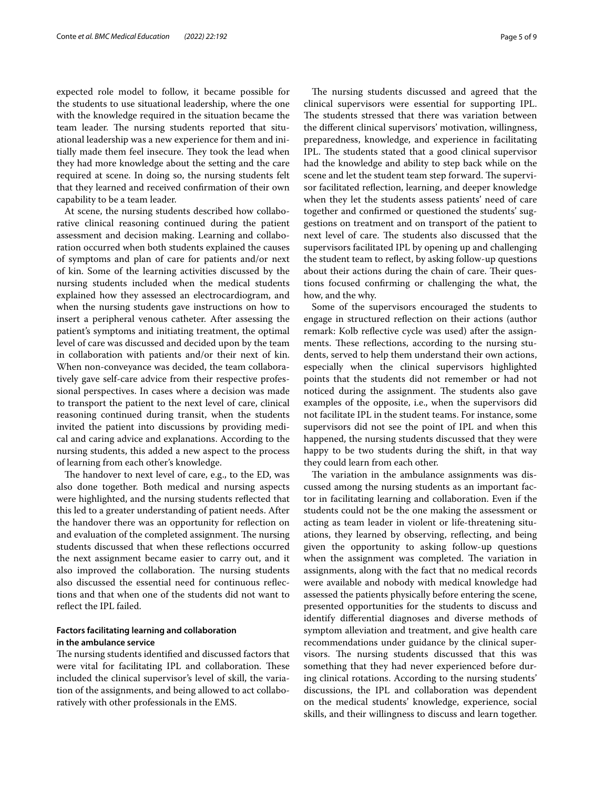expected role model to follow, it became possible for the students to use situational leadership, where the one with the knowledge required in the situation became the team leader. The nursing students reported that situational leadership was a new experience for them and initially made them feel insecure. They took the lead when they had more knowledge about the setting and the care required at scene. In doing so, the nursing students felt that they learned and received confrmation of their own capability to be a team leader.

At scene, the nursing students described how collaborative clinical reasoning continued during the patient assessment and decision making. Learning and collaboration occurred when both students explained the causes of symptoms and plan of care for patients and/or next of kin. Some of the learning activities discussed by the nursing students included when the medical students explained how they assessed an electrocardiogram, and when the nursing students gave instructions on how to insert a peripheral venous catheter. After assessing the patient's symptoms and initiating treatment, the optimal level of care was discussed and decided upon by the team in collaboration with patients and/or their next of kin. When non-conveyance was decided, the team collaboratively gave self-care advice from their respective professional perspectives. In cases where a decision was made to transport the patient to the next level of care, clinical reasoning continued during transit, when the students invited the patient into discussions by providing medical and caring advice and explanations. According to the nursing students, this added a new aspect to the process of learning from each other's knowledge.

The handover to next level of care, e.g., to the ED, was also done together. Both medical and nursing aspects were highlighted, and the nursing students refected that this led to a greater understanding of patient needs. After the handover there was an opportunity for refection on and evaluation of the completed assignment. The nursing students discussed that when these refections occurred the next assignment became easier to carry out, and it also improved the collaboration. The nursing students also discussed the essential need for continuous refections and that when one of the students did not want to refect the IPL failed.

# **Factors facilitating learning and collaboration in the ambulance service**

The nursing students identified and discussed factors that were vital for facilitating IPL and collaboration. These included the clinical supervisor's level of skill, the variation of the assignments, and being allowed to act collaboratively with other professionals in the EMS.

The nursing students discussed and agreed that the clinical supervisors were essential for supporting IPL. The students stressed that there was variation between the diferent clinical supervisors' motivation, willingness, preparedness, knowledge, and experience in facilitating IPL. The students stated that a good clinical supervisor had the knowledge and ability to step back while on the scene and let the student team step forward. The supervisor facilitated refection, learning, and deeper knowledge when they let the students assess patients' need of care together and confrmed or questioned the students' suggestions on treatment and on transport of the patient to next level of care. The students also discussed that the supervisors facilitated IPL by opening up and challenging the student team to refect, by asking follow-up questions about their actions during the chain of care. Their questions focused confrming or challenging the what, the how, and the why.

Some of the supervisors encouraged the students to engage in structured refection on their actions (author remark: Kolb refective cycle was used) after the assignments. These reflections, according to the nursing students, served to help them understand their own actions, especially when the clinical supervisors highlighted points that the students did not remember or had not noticed during the assignment. The students also gave examples of the opposite, i.e., when the supervisors did not facilitate IPL in the student teams. For instance, some supervisors did not see the point of IPL and when this happened, the nursing students discussed that they were happy to be two students during the shift, in that way they could learn from each other.

The variation in the ambulance assignments was discussed among the nursing students as an important factor in facilitating learning and collaboration. Even if the students could not be the one making the assessment or acting as team leader in violent or life-threatening situations, they learned by observing, refecting, and being given the opportunity to asking follow-up questions when the assignment was completed. The variation in assignments, along with the fact that no medical records were available and nobody with medical knowledge had assessed the patients physically before entering the scene, presented opportunities for the students to discuss and identify diferential diagnoses and diverse methods of symptom alleviation and treatment, and give health care recommendations under guidance by the clinical supervisors. The nursing students discussed that this was something that they had never experienced before during clinical rotations. According to the nursing students' discussions, the IPL and collaboration was dependent on the medical students' knowledge, experience, social skills, and their willingness to discuss and learn together.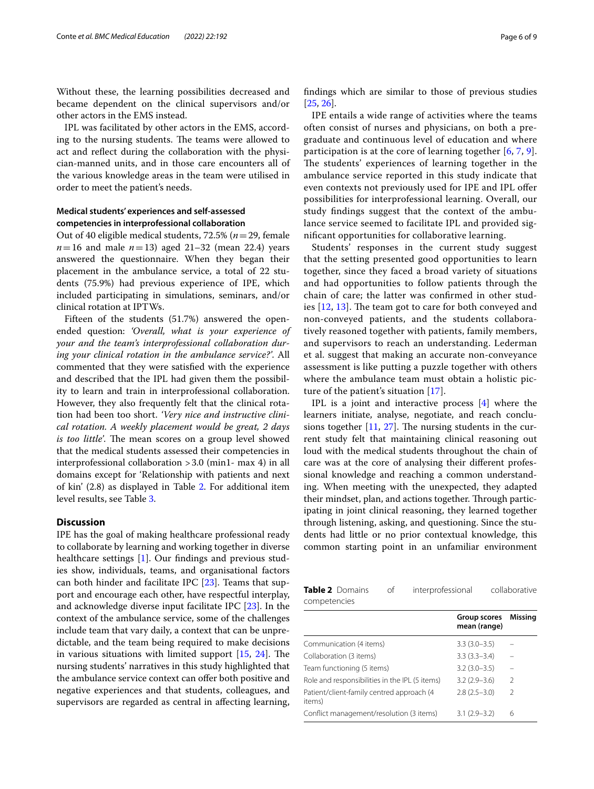Without these, the learning possibilities decreased and became dependent on the clinical supervisors and/or other actors in the EMS instead.

IPL was facilitated by other actors in the EMS, according to the nursing students. The teams were allowed to act and refect during the collaboration with the physician-manned units, and in those care encounters all of the various knowledge areas in the team were utilised in order to meet the patient's needs.

# **Medical students' experiences and self‑assessed competencies in interprofessional collaboration**

Out of 40 eligible medical students, 72.5% (*n*=29, female  $n=16$  and male  $n=13$ ) aged 21–32 (mean 22.4) years answered the questionnaire. When they began their placement in the ambulance service, a total of 22 students (75.9%) had previous experience of IPE, which included participating in simulations, seminars, and/or clinical rotation at IPTWs.

Fifteen of the students (51.7%) answered the openended question: *'Overall, what is your experience of your and the team's interprofessional collaboration during your clinical rotation in the ambulance service?'*. All commented that they were satisfed with the experience and described that the IPL had given them the possibility to learn and train in interprofessional collaboration. However, they also frequently felt that the clinical rotation had been too short. *'Very nice and instructive clinical rotation. A weekly placement would be great, 2 days is too little'*. The mean scores on a group level showed that the medical students assessed their competencies in interprofessional collaboration >3.0 (min1- max 4) in all domains except for 'Relationship with patients and next of kin' (2.8) as displayed in Table [2](#page-5-0). For additional item level results, see Table [3](#page-6-0).

# **Discussion**

IPE has the goal of making healthcare professional ready to collaborate by learning and working together in diverse healthcare settings [\[1](#page-8-0)]. Our findings and previous studies show, individuals, teams, and organisational factors can both hinder and facilitate IPC [\[23\]](#page-8-22). Teams that support and encourage each other, have respectful interplay, and acknowledge diverse input facilitate IPC [[23](#page-8-22)]. In the context of the ambulance service, some of the challenges include team that vary daily, a context that can be unpredictable, and the team being required to make decisions in various situations with limited support  $[15, 24]$  $[15, 24]$  $[15, 24]$ . The nursing students' narratives in this study highlighted that the ambulance service context can offer both positive and negative experiences and that students, colleagues, and supervisors are regarded as central in afecting learning, fndings which are similar to those of previous studies [[25,](#page-8-24) [26](#page-8-25)].

IPE entails a wide range of activities where the teams often consist of nurses and physicians, on both a pregraduate and continuous level of education and where participation is at the core of learning together [[6](#page-8-5), [7](#page-8-6), [9](#page-8-8)]. The students' experiences of learning together in the ambulance service reported in this study indicate that even contexts not previously used for IPE and IPL ofer possibilities for interprofessional learning. Overall, our study fndings suggest that the context of the ambulance service seemed to facilitate IPL and provided signifcant opportunities for collaborative learning.

Students' responses in the current study suggest that the setting presented good opportunities to learn together, since they faced a broad variety of situations and had opportunities to follow patients through the chain of care; the latter was confrmed in other studies  $[12, 13]$  $[12, 13]$  $[12, 13]$  $[12, 13]$  $[12, 13]$ . The team got to care for both conveyed and non-conveyed patients, and the students collaboratively reasoned together with patients, family members, and supervisors to reach an understanding. Lederman et al. suggest that making an accurate non-conveyance assessment is like putting a puzzle together with others where the ambulance team must obtain a holistic picture of the patient's situation [\[17\]](#page-8-16).

IPL is a joint and interactive process [[4\]](#page-8-3) where the learners initiate, analyse, negotiate, and reach conclusions together  $[11, 27]$  $[11, 27]$  $[11, 27]$  $[11, 27]$ . The nursing students in the current study felt that maintaining clinical reasoning out loud with the medical students throughout the chain of care was at the core of analysing their diferent professional knowledge and reaching a common understanding. When meeting with the unexpected, they adapted their mindset, plan, and actions together. Through participating in joint clinical reasoning, they learned together through listening, asking, and questioning. Since the students had little or no prior contextual knowledge, this common starting point in an unfamiliar environment

<span id="page-5-0"></span>

| <b>Table 2</b> Domains | interprofessional | collaborative |
|------------------------|-------------------|---------------|
| competencies           |                   |               |
|                        |                   |               |

|                                                     | Group scores<br>mean (range) | Missina       |
|-----------------------------------------------------|------------------------------|---------------|
| Communication (4 items)                             | $3.3(3.0 - 3.5)$             |               |
| Collaboration (3 items)                             | $3.3(3.3 - 3.4)$             |               |
| Team functioning (5 items)                          | $3.2(3.0-3.5)$               |               |
| Role and responsibilities in the IPL (5 items)      | $3.2(2.9 - 3.6)$             | $\mathcal{L}$ |
| Patient/client-family centred approach (4<br>items) | $2.8(2.5-3.0)$               | $\mathcal{L}$ |
| Conflict management/resolution (3 items)            | $3.1(2.9 - 3.2)$             | 6             |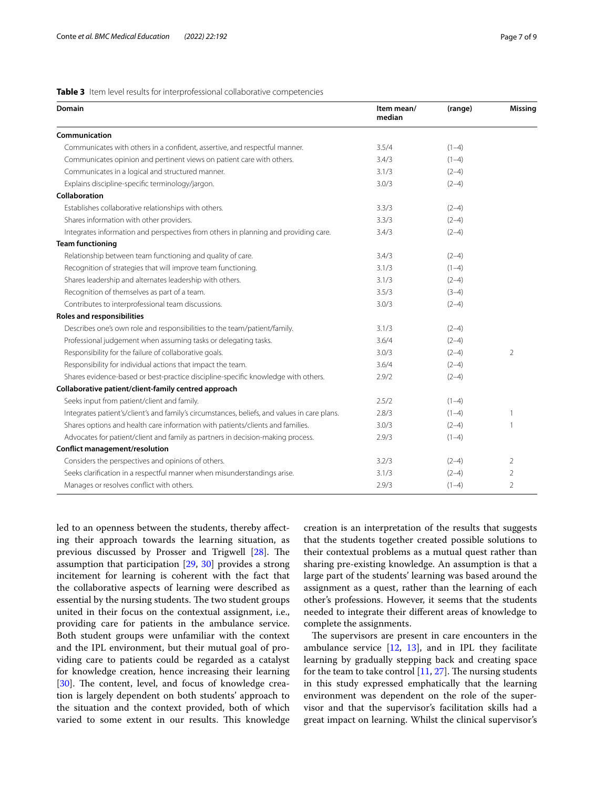# <span id="page-6-0"></span>**Table 3** Item level results for interprofessional collaborative competencies

| Domain                                                                                       | Item mean/<br>median | (range) | <b>Missing</b> |
|----------------------------------------------------------------------------------------------|----------------------|---------|----------------|
| Communication                                                                                |                      |         |                |
| Communicates with others in a confident, assertive, and respectful manner.                   | 3.5/4                | $(1-4)$ |                |
| Communicates opinion and pertinent views on patient care with others.                        | 3.4/3                | $(1-4)$ |                |
| Communicates in a logical and structured manner.                                             | 3.1/3                | $(2-4)$ |                |
| Explains discipline-specific terminology/jargon.                                             | 3.0/3                | $(2-4)$ |                |
| Collaboration                                                                                |                      |         |                |
| Establishes collaborative relationships with others.                                         | 3.3/3                | $(2-4)$ |                |
| Shares information with other providers.                                                     | 3.3/3                | $(2-4)$ |                |
| Integrates information and perspectives from others in planning and providing care.          | 3.4/3                | $(2-4)$ |                |
| <b>Team functioning</b>                                                                      |                      |         |                |
| Relationship between team functioning and quality of care.                                   | 3.4/3                | $(2-4)$ |                |
| Recognition of strategies that will improve team functioning.                                | 3.1/3                | $(1-4)$ |                |
| Shares leadership and alternates leadership with others.                                     | 3.1/3                | $(2-4)$ |                |
| Recognition of themselves as part of a team.                                                 | 3.5/3                | $(3-4)$ |                |
| Contributes to interprofessional team discussions.                                           | 3.0/3                | $(2-4)$ |                |
| <b>Roles and responsibilities</b>                                                            |                      |         |                |
| Describes one's own role and responsibilities to the team/patient/family.                    | 3.1/3                | $(2-4)$ |                |
| Professional judgement when assuming tasks or delegating tasks.                              | 3.6/4                | $(2-4)$ |                |
| Responsibility for the failure of collaborative goals.                                       | 3.0/3                | $(2-4)$ | $\overline{2}$ |
| Responsibility for individual actions that impact the team.                                  | 3.6/4                | $(2-4)$ |                |
| Shares evidence-based or best-practice discipline-specific knowledge with others.            | 2.9/2                | $(2-4)$ |                |
| Collaborative patient/client-family centred approach                                         |                      |         |                |
| Seeks input from patient/client and family.                                                  | 2.5/2                | $(1-4)$ |                |
| Integrates patient's/client's and family's circumstances, beliefs, and values in care plans. | 2.8/3                | $(1-4)$ | $\overline{1}$ |
| Shares options and health care information with patients/clients and families.               | 3.0/3                | $(2-4)$ | $\mathbf{1}$   |
| Advocates for patient/client and family as partners in decision-making process.              | 2.9/3                | $(1-4)$ |                |
| Conflict management/resolution                                                               |                      |         |                |
| Considers the perspectives and opinions of others.                                           | 3.2/3                | $(2-4)$ | $\overline{2}$ |
| Seeks clarification in a respectful manner when misunderstandings arise.                     | 3.1/3                | $(2-4)$ | 2              |
| Manages or resolves conflict with others.                                                    | 2.9/3                | $(1-4)$ | $\overline{2}$ |

led to an openness between the students, thereby afecting their approach towards the learning situation, as previous discussed by Prosser and Trigwell  $[28]$  $[28]$  $[28]$ . The assumption that participation [\[29](#page-8-28), [30\]](#page-8-29) provides a strong incitement for learning is coherent with the fact that the collaborative aspects of learning were described as essential by the nursing students. The two student groups united in their focus on the contextual assignment, i.e., providing care for patients in the ambulance service. Both student groups were unfamiliar with the context and the IPL environment, but their mutual goal of providing care to patients could be regarded as a catalyst for knowledge creation, hence increasing their learning [[30\]](#page-8-29). The content, level, and focus of knowledge creation is largely dependent on both students' approach to the situation and the context provided, both of which varied to some extent in our results. This knowledge creation is an interpretation of the results that suggests that the students together created possible solutions to their contextual problems as a mutual quest rather than sharing pre-existing knowledge. An assumption is that a large part of the students' learning was based around the assignment as a quest, rather than the learning of each other's professions. However, it seems that the students needed to integrate their diferent areas of knowledge to complete the assignments.

The supervisors are present in care encounters in the ambulance service  $[12, 13]$  $[12, 13]$  $[12, 13]$  $[12, 13]$ , and in IPL they facilitate learning by gradually stepping back and creating space for the team to take control  $[11, 27]$  $[11, 27]$  $[11, 27]$ . The nursing students in this study expressed emphatically that the learning environment was dependent on the role of the supervisor and that the supervisor's facilitation skills had a great impact on learning. Whilst the clinical supervisor's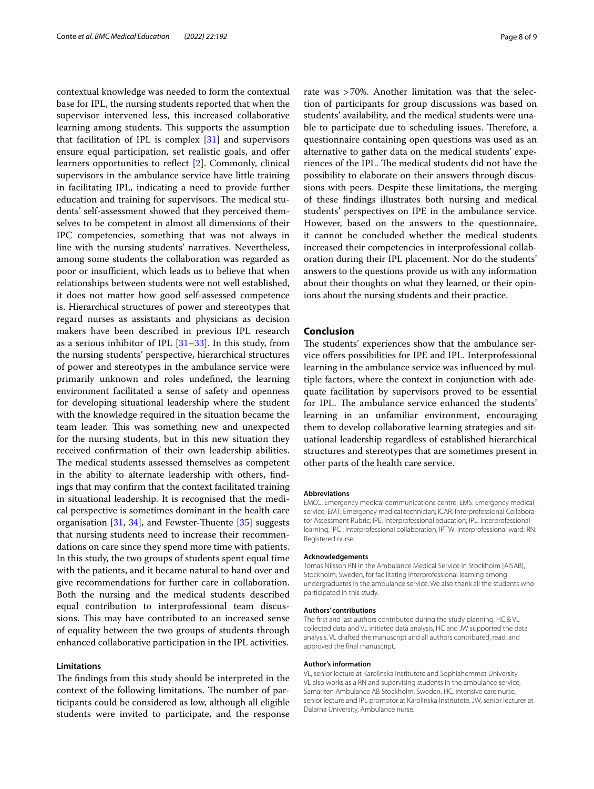contextual knowledge was needed to form the contextual base for IPL, the nursing students reported that when the supervisor intervened less, this increased collaborative learning among students. This supports the assumption that facilitation of IPL is complex [\[31](#page-8-30)] and supervisors ensure equal participation, set realistic goals, and offer learners opportunities to refect [\[2](#page-8-1)]. Commonly, clinical supervisors in the ambulance service have little training in facilitating IPL, indicating a need to provide further education and training for supervisors. The medical students' self-assessment showed that they perceived themselves to be competent in almost all dimensions of their IPC competencies, something that was not always in line with the nursing students' narratives. Nevertheless, among some students the collaboration was regarded as poor or insufficient, which leads us to believe that when relationships between students were not well established, it does not matter how good self-assessed competence is. Hierarchical structures of power and stereotypes that regard nurses as assistants and physicians as decision makers have been described in previous IPL research as a serious inhibitor of IPL [\[31](#page-8-30)–[33\]](#page-8-31). In this study, from the nursing students' perspective, hierarchical structures of power and stereotypes in the ambulance service were primarily unknown and roles undefned, the learning environment facilitated a sense of safety and openness for developing situational leadership where the student with the knowledge required in the situation became the team leader. This was something new and unexpected for the nursing students, but in this new situation they received confrmation of their own leadership abilities. The medical students assessed themselves as competent in the ability to alternate leadership with others, fndings that may confrm that the context facilitated training in situational leadership. It is recognised that the medical perspective is sometimes dominant in the health care organisation  $[31, 34]$  $[31, 34]$  $[31, 34]$  $[31, 34]$ , and Fewster-Thuente  $[35]$  $[35]$  suggests that nursing students need to increase their recommendations on care since they spend more time with patients. In this study, the two groups of students spent equal time with the patients, and it became natural to hand over and give recommendations for further care in collaboration. Both the nursing and the medical students described equal contribution to interprofessional team discussions. This may have contributed to an increased sense of equality between the two groups of students through enhanced collaborative participation in the IPL activities.

# **Limitations**

The findings from this study should be interpreted in the context of the following limitations. The number of participants could be considered as low, although all eligible students were invited to participate, and the response rate was >70%. Another limitation was that the selection of participants for group discussions was based on students' availability, and the medical students were unable to participate due to scheduling issues. Therefore, a questionnaire containing open questions was used as an alternative to gather data on the medical students' experiences of the IPL. The medical students did not have the possibility to elaborate on their answers through discussions with peers. Despite these limitations, the merging of these fndings illustrates both nursing and medical students' perspectives on IPE in the ambulance service. However, based on the answers to the questionnaire, it cannot be concluded whether the medical students increased their competencies in interprofessional collaboration during their IPL placement. Nor do the students' answers to the questions provide us with any information about their thoughts on what they learned, or their opinions about the nursing students and their practice.

# **Conclusion**

The students' experiences show that the ambulance service ofers possibilities for IPE and IPL. Interprofessional learning in the ambulance service was infuenced by multiple factors, where the context in conjunction with adequate facilitation by supervisors proved to be essential for IPL. The ambulance service enhanced the students' learning in an unfamiliar environment, encouraging them to develop collaborative learning strategies and situational leadership regardless of established hierarchical structures and stereotypes that are sometimes present in other parts of the health care service.

#### **Abbreviations**

EMCC: Emergency medical communications centre; EMS: Emergency medical service; EMT: Emergency medical technician; ICAR: Interprofessional Collaborator Assessment Rubric; IPE: Interprofessional education; IPL: Interprofessional learning; IPC : Interprofessional collaboration; IPTW: Interprofessional ward; RN: Registered nurse.

#### **Acknowledgements**

Tomas Nilsson RN in the Ambulance Medical Service in Stockholm [AISAB], Stockholm, Sweden, for facilitating interprofessional learning among undergraduates in the ambulance service. We also thank all the students who participated in this study.

#### **Authors' contributions**

The frst and last authors contributed during the study planning. HC & VL collected data and VL initiated data analysis, HC and JW supported the data analysis. VL drafted the manuscript and all authors contributed, read, and approved the fnal manuscript.

#### **Author's information**

VL, senior lecture at Karolinska Institutete and Sophiahemmet University. VL also works as a RN and supervising students in the ambulance service, Samariten Ambulance AB Stockholm, Sweden. HC, intensive care nurse, senior lecture and IPL promotor at Karolinska Institutete. JW, senior lecturer at Dalarna University, Ambulance nurse.